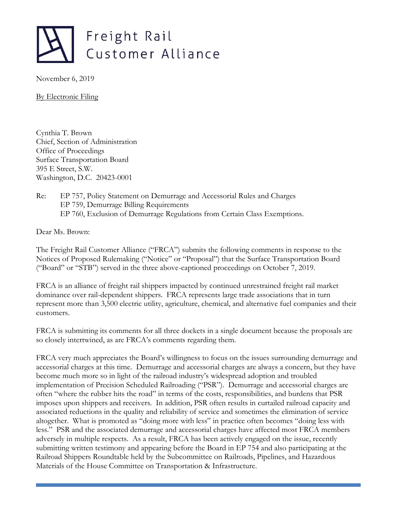

November 6, 2019

By Electronic Filing

Cynthia T. Brown Chief, Section of Administration Office of Proceedings Surface Transportation Board 395 E Street, S.W. Washington, D.C. 20423-0001

#### Re: EP 757, Policy Statement on Demurrage and Accessorial Rules and Charges EP 759, Demurrage Billing Requirements EP 760, Exclusion of Demurrage Regulations from Certain Class Exemptions.

Dear Ms. Brown:

The Freight Rail Customer Alliance ("FRCA") submits the following comments in response to the Notices of Proposed Rulemaking ("Notice" or "Proposal") that the Surface Transportation Board ("Board" or "STB") served in the three above-captioned proceedings on October 7, 2019.

FRCA is an alliance of freight rail shippers impacted by continued unrestrained freight rail market dominance over rail-dependent shippers. FRCA represents large trade associations that in turn represent more than 3,500 electric utility, agriculture, chemical, and alternative fuel companies and their customers.

FRCA is submitting its comments for all three dockets in a single document because the proposals are so closely intertwined, as are FRCA's comments regarding them.

FRCA very much appreciates the Board's willingness to focus on the issues surrounding demurrage and accessorial charges at this time. Demurrage and accessorial charges are always a concern, but they have become much more so in light of the railroad industry's widespread adoption and troubled implementation of Precision Scheduled Railroading ("PSR"). Demurrage and accessorial charges are often "where the rubber hits the road" in terms of the costs, responsibilities, and burdens that PSR imposes upon shippers and receivers. In addition, PSR often results in curtailed railroad capacity and associated reductions in the quality and reliability of service and sometimes the elimination of service altogether. What is promoted as "doing more with less" in practice often becomes "doing less with less." PSR and the associated demurrage and accessorial charges have affected most FRCA members adversely in multiple respects. As a result, FRCA has been actively engaged on the issue, recently submitting written testimony and appearing before the Board in EP 754 and also participating at the Railroad Shippers Roundtable held by the Subcommittee on Railroads, Pipelines, and Hazardous Materials of the House Committee on Transportation & Infrastructure.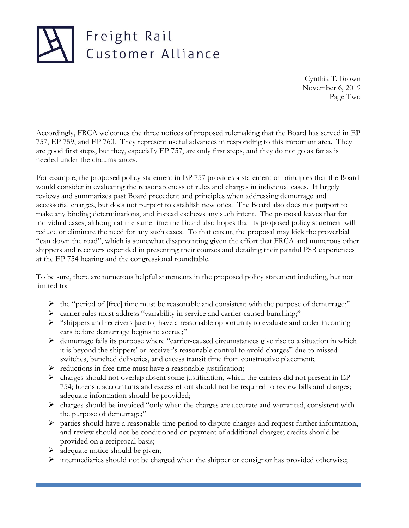Cynthia T. Brown November 6, 2019 Page Two

Accordingly, FRCA welcomes the three notices of proposed rulemaking that the Board has served in EP 757, EP 759, and EP 760. They represent useful advances in responding to this important area. They are good first steps, but they, especially EP 757, are only first steps, and they do not go as far as is needed under the circumstances.

For example, the proposed policy statement in EP 757 provides a statement of principles that the Board would consider in evaluating the reasonableness of rules and charges in individual cases. It largely reviews and summarizes past Board precedent and principles when addressing demurrage and accessorial charges, but does not purport to establish new ones. The Board also does not purport to make any binding determinations, and instead eschews any such intent. The proposal leaves that for individual cases, although at the same time the Board also hopes that its proposed policy statement will reduce or eliminate the need for any such cases. To that extent, the proposal may kick the proverbial "can down the road", which is somewhat disappointing given the effort that FRCA and numerous other shippers and receivers expended in presenting their courses and detailing their painful PSR experiences at the EP 754 hearing and the congressional roundtable.

To be sure, there are numerous helpful statements in the proposed policy statement including, but not limited to:

- ➢ the "period of [free] time must be reasonable and consistent with the purpose of demurrage;"
- ➢ carrier rules must address "variability in service and carrier-caused bunching;"
- ➢ "shippers and receivers [are to] have a reasonable opportunity to evaluate and order incoming cars before demurrage begins to accrue;"
- ➢ demurrage fails its purpose where "carrier-caused circumstances give rise to a situation in which it is beyond the shippers' or receiver's reasonable control to avoid charges" due to missed switches, bunched deliveries, and excess transit time from constructive placement;
- ➢ reductions in free time must have a reasonable justification;
- $\triangleright$  charges should not overlap absent some justification, which the carriers did not present in EP 754; forensic accountants and excess effort should not be required to review bills and charges; adequate information should be provided;
- $\triangleright$  charges should be invoiced "only when the charges are accurate and warranted, consistent with the purpose of demurrage;"
- $\triangleright$  parties should have a reasonable time period to dispute charges and request further information, and review should not be conditioned on payment of additional charges; credits should be provided on a reciprocal basis;
- $\triangleright$  adequate notice should be given;
- $\triangleright$  intermediaries should not be charged when the shipper or consignor has provided otherwise;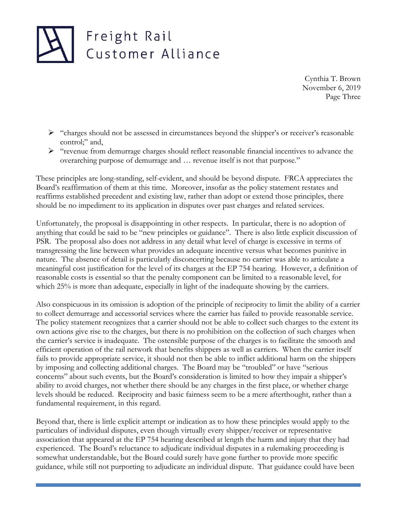Cynthia T. Brown November 6, 2019 Page Three

- $\triangleright$  "charges should not be assessed in circumstances beyond the shipper's or receiver's reasonable control;" and,
- ➢ "revenue from demurrage charges should reflect reasonable financial incentives to advance the overarching purpose of demurrage and … revenue itself is not that purpose."

These principles are long-standing, self-evident, and should be beyond dispute. FRCA appreciates the Board's reaffirmation of them at this time. Moreover, insofar as the policy statement restates and reaffirms established precedent and existing law, rather than adopt or extend those principles, there should be no impediment to its application in disputes over past charges and related services.

Unfortunately, the proposal is disappointing in other respects. In particular, there is no adoption of anything that could be said to be "new principles or guidance". There is also little explicit discussion of PSR. The proposal also does not address in any detail what level of charge is excessive in terms of transgressing the line between what provides an adequate incentive versus what becomes punitive in nature. The absence of detail is particularly disconcerting because no carrier was able to articulate a meaningful cost justification for the level of its charges at the EP 754 hearing. However, a definition of reasonable costs is essential so that the penalty component can be limited to a reasonable level, for which 25% is more than adequate, especially in light of the inadequate showing by the carriers.

Also conspicuous in its omission is adoption of the principle of reciprocity to limit the ability of a carrier to collect demurrage and accessorial services where the carrier has failed to provide reasonable service. The policy statement recognizes that a carrier should not be able to collect such charges to the extent its own actions give rise to the charges, but there is no prohibition on the collection of such charges when the carrier's service is inadequate. The ostensible purpose of the charges is to facilitate the smooth and efficient operation of the rail network that benefits shippers as well as carriers. When the carrier itself fails to provide appropriate service, it should not then be able to inflict additional harm on the shippers by imposing and collecting additional charges. The Board may be "troubled" or have "serious concerns" about such events, but the Board's consideration is limited to how they impair a shipper's ability to avoid charges, not whether there should be any charges in the first place, or whether charge levels should be reduced. Reciprocity and basic fairness seem to be a mere afterthought, rather than a fundamental requirement, in this regard.

Beyond that, there is little explicit attempt or indication as to how these principles would apply to the particulars of individual disputes, even though virtually every shipper/receiver or representative association that appeared at the EP 754 hearing described at length the harm and injury that they had experienced. The Board's reluctance to adjudicate individual disputes in a rulemaking proceeding is somewhat understandable, but the Board could surely have gone further to provide more specific guidance, while still not purporting to adjudicate an individual dispute. That guidance could have been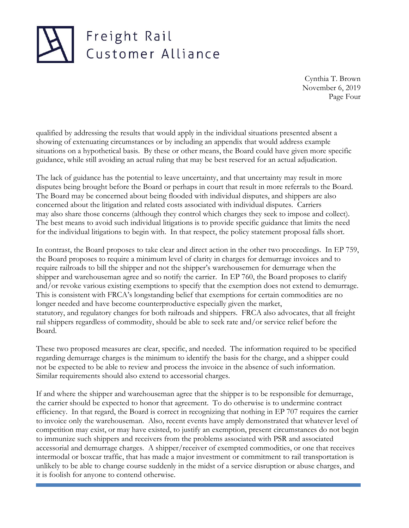Cynthia T. Brown November 6, 2019 Page Four

qualified by addressing the results that would apply in the individual situations presented absent a showing of extenuating circumstances or by including an appendix that would address example situations on a hypothetical basis. By these or other means, the Board could have given more specific guidance, while still avoiding an actual ruling that may be best reserved for an actual adjudication.

The lack of guidance has the potential to leave uncertainty, and that uncertainty may result in more disputes being brought before the Board or perhaps in court that result in more referrals to the Board. The Board may be concerned about being flooded with individual disputes, and shippers are also concerned about the litigation and related costs associated with individual disputes. Carriers may also share those concerns (although they control which charges they seek to impose and collect). The best means to avoid such individual litigations is to provide specific guidance that limits the need for the individual litigations to begin with. In that respect, the policy statement proposal falls short.

In contrast, the Board proposes to take clear and direct action in the other two proceedings. In EP 759, the Board proposes to require a minimum level of clarity in charges for demurrage invoices and to require railroads to bill the shipper and not the shipper's warehousemen for demurrage when the shipper and warehouseman agree and so notify the carrier. In EP 760, the Board proposes to clarify and/or revoke various existing exemptions to specify that the exemption does not extend to demurrage. This is consistent with FRCA's longstanding belief that exemptions for certain commodities are no longer needed and have become counterproductive especially given the market, statutory, and regulatory changes for both railroads and shippers. FRCA also advocates, that all freight rail shippers regardless of commodity, should be able to seek rate and/or service relief before the Board.

These two proposed measures are clear, specific, and needed. The information required to be specified regarding demurrage charges is the minimum to identify the basis for the charge, and a shipper could not be expected to be able to review and process the invoice in the absence of such information. Similar requirements should also extend to accessorial charges.

If and where the shipper and warehouseman agree that the shipper is to be responsible for demurrage, the carrier should be expected to honor that agreement. To do otherwise is to undermine contract efficiency. In that regard, the Board is correct in recognizing that nothing in EP 707 requires the carrier to invoice only the warehouseman. Also, recent events have amply demonstrated that whatever level of competition may exist, or may have existed, to justify an exemption, present circumstances do not begin to immunize such shippers and receivers from the problems associated with PSR and associated accessorial and demurrage charges. A shipper/receiver of exempted commodities, or one that receives intermodal or boxcar traffic, that has made a major investment or commitment to rail transportation is unlikely to be able to change course suddenly in the midst of a service disruption or abuse charges, and it is foolish for anyone to contend otherwise.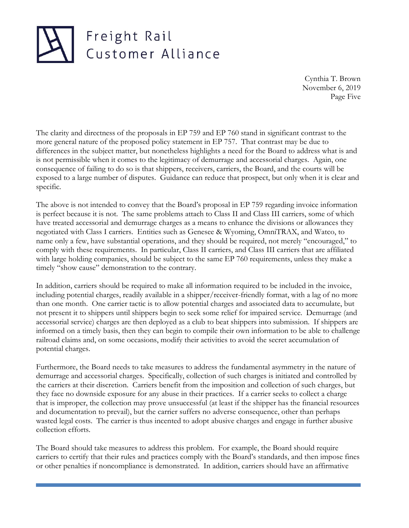Cynthia T. Brown November 6, 2019 Page Five

The clarity and directness of the proposals in EP 759 and EP 760 stand in significant contrast to the more general nature of the proposed policy statement in EP 757. That contrast may be due to differences in the subject matter, but nonetheless highlights a need for the Board to address what is and is not permissible when it comes to the legitimacy of demurrage and accessorial charges. Again, one consequence of failing to do so is that shippers, receivers, carriers, the Board, and the courts will be exposed to a large number of disputes. Guidance can reduce that prospect, but only when it is clear and specific.

The above is not intended to convey that the Board's proposal in EP 759 regarding invoice information is perfect because it is not. The same problems attach to Class II and Class III carriers, some of which have treated accessorial and demurrage charges as a means to enhance the divisions or allowances they negotiated with Class I carriers. Entities such as Genesee & Wyoming, OmniTRAX, and Watco, to name only a few, have substantial operations, and they should be required, not merely "encouraged," to comply with these requirements. In particular, Class II carriers, and Class III carriers that are affiliated with large holding companies, should be subject to the same EP 760 requirements, unless they make a timely "show cause" demonstration to the contrary.

In addition, carriers should be required to make all information required to be included in the invoice, including potential charges, readily available in a shipper/receiver-friendly format, with a lag of no more than one month. One carrier tactic is to allow potential charges and associated data to accumulate, but not present it to shippers until shippers begin to seek some relief for impaired service. Demurrage (and accessorial service) charges are then deployed as a club to beat shippers into submission. If shippers are informed on a timely basis, then they can begin to compile their own information to be able to challenge railroad claims and, on some occasions, modify their activities to avoid the secret accumulation of potential charges.

Furthermore, the Board needs to take measures to address the fundamental asymmetry in the nature of demurrage and accessorial charges. Specifically, collection of such charges is initiated and controlled by the carriers at their discretion. Carriers benefit from the imposition and collection of such charges, but they face no downside exposure for any abuse in their practices. If a carrier seeks to collect a charge that is improper, the collection may prove unsuccessful (at least if the shipper has the financial resources and documentation to prevail), but the carrier suffers no adverse consequence, other than perhaps wasted legal costs. The carrier is thus incented to adopt abusive charges and engage in further abusive collection efforts.

The Board should take measures to address this problem. For example, the Board should require carriers to certify that their rules and practices comply with the Board's standards, and then impose fines or other penalties if noncompliance is demonstrated. In addition, carriers should have an affirmative